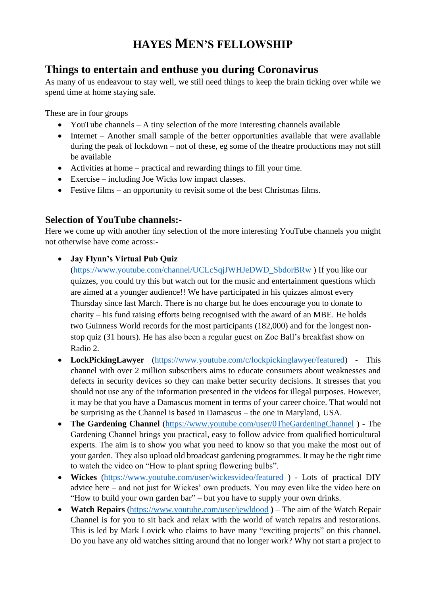# **HAYES MEN'S FELLOWSHIP**

### **Things to entertain and enthuse you during Coronavirus**

As many of us endeavour to stay well, we still need things to keep the brain ticking over while we spend time at home staying safe.

These are in four groups

- YouTube channels A tiny selection of the more interesting channels available
- Internet Another small sample of the better opportunities available that were available during the peak of lockdown – not of these, eg some of the theatre productions may not still be available
- Activities at home practical and rewarding things to fill your time.
- Exercise including Joe Wicks low impact classes.
- Festive films an opportunity to revisit some of the best Christmas films.

#### **Selection of YouTube channels:-**

Here we come up with another tiny selection of the more interesting YouTube channels you might not otherwise have come across:-

#### • **Jay Flynn's Virtual Pub Quiz**

[\(https://www.youtube.com/channel/UCLcSqjJWHJeDWD\\_SbdorBRw](https://www.youtube.com/channel/UCLcSqjJWHJeDWD_SbdorBRw) ) If you like our quizzes, you could try this but watch out for the music and entertainment questions which are aimed at a younger audience!! We have participated in his quizzes almost every Thursday since last March. There is no charge but he does encourage you to donate to charity – his fund raising efforts being recognised with the award of an MBE. He holds two Guinness World records for the most participants (182,000) and for the longest nonstop quiz (31 hours). He has also been a regular guest on Zoe Ball's breakfast show on Radio 2.

- **LockPickingLawyer** [\(https://www.youtube.com/c/lockpickinglawyer/featured\)](https://www.youtube.com/c/lockpickinglawyer/featured) This channel with over 2 million subscribers aims to educate consumers about weaknesses and defects in security devices so they can make better security decisions. It stresses that you should not use any of the information presented in the videos for illegal purposes. However, it may be that you have a Damascus moment in terms of your career choice. That would not be surprising as the Channel is based in Damascus – the one in Maryland, USA.
- **The Gardening Channel** [\(https://www.youtube.com/user/0TheGardeningChannel](https://www.youtube.com/user/0TheGardeningChannel)) The Gardening Channel brings you practical, easy to follow advice from qualified horticultural experts. The aim is to show you what you need to know so that you make the most out of your garden. They also upload old broadcast gardening programmes. It may be the right time to watch the video on "How to plant spring flowering bulbs".
- **Wickes** [\(https://www.youtube.com/user/wickesvideo/featured](https://www.youtube.com/user/wickesvideo/featured)) Lots of practical DIY advice here – and not just for Wickes' own products. You may even like the video here on "How to build your own garden bar" – but you have to supply your own drinks.
- **Watch Repairs** [\(https://www.youtube.com/user/jewldood](https://www.youtube.com/user/jewldood)) The aim of the Watch Repair Channel is for you to sit back and relax with the world of watch repairs and restorations. This is led by Mark Lovick who claims to have many "exciting projects" on this channel. Do you have any old watches sitting around that no longer work? Why not start a project to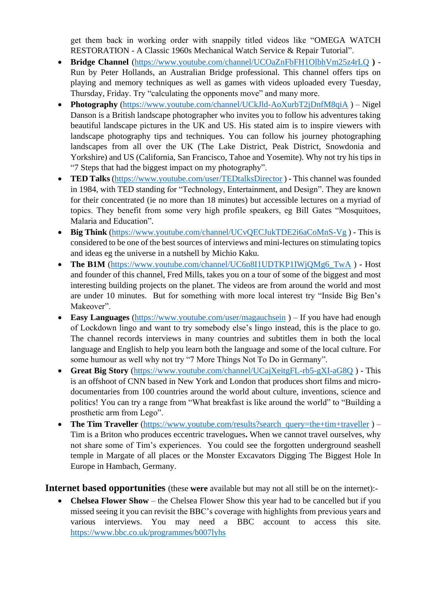get them back in working order with snappily titled videos like "OMEGA WATCH RESTORATION - A Classic 1960s Mechanical Watch Service & Repair Tutorial".

- **Bridge Channel** [\(https://www.youtube.com/channel/UCOaZnFbFH1OlbhVm25z4rLQ](https://www.youtube.com/channel/UCOaZnFbFH1OlbhVm25z4rLQ) **)**  Run by Peter Hollands, an Australian Bridge professional. This channel offers tips on playing and memory techniques as well as games with videos uploaded every Tuesday, Thursday, Friday. Try "calculating the opponents move" and many more.
- **Photography** [\(https://www.youtube.com/channel/UCkJld-AoXurbT2jDnfM8qiA](https://www.youtube.com/channel/UCkJld-AoXurbT2jDnfM8qiA) ) Nigel Danson is a British landscape photographer who invites you to follow his adventures taking beautiful landscape pictures in the UK and US. His stated aim is to inspire viewers with landscape photography tips and techniques. You can follow his journey photographing landscapes from all over the UK (The Lake District, Peak District, Snowdonia and Yorkshire) and US (California, San Francisco, Tahoe and Yosemite). Why not try his tips in "7 Steps that had the biggest impact on my photography".
- **TED Talks** [\(https://www.youtube.com/user/TEDtalksDirector](https://www.youtube.com/user/TEDtalksDirector) ) This channel was founded in 1984, with TED standing for "Technology, Entertainment, and Design". They are known for their concentrated (ie no more than 18 minutes) but accessible lectures on a myriad of topics. They benefit from some very high profile speakers, eg Bill Gates "Mosquitoes, Malaria and Education".
- **Big Think** [\(https://www.youtube.com/channel/UCvQECJukTDE2i6aCoMnS-Vg](https://www.youtube.com/channel/UCvQECJukTDE2i6aCoMnS-Vg) ) This is considered to be one of the best sources of interviews and mini-lectures on stimulating topics and ideas eg the universe in a nutshell by Michio Kaku.
- The B1M [\(https://www.youtube.com/channel/UC6n8I1UDTKP1IWjQMg6\\_TwA](https://www.youtube.com/channel/UC6n8I1UDTKP1IWjQMg6_TwA)) Host and founder of this channel, Fred Mills, takes you on a tour of some of the biggest and most interesting building projects on the planet. The videos are from around the world and most are under 10 minutes. But for something with more local interest try "Inside Big Ben's Makeover".
- **Easy Languages** [\(https://www.youtube.com/user/magauchsein](https://www.youtube.com/user/magauchsein) ) If you have had enough of Lockdown lingo and want to try somebody else's lingo instead, this is the place to go. The channel records interviews in many countries and subtitles them in both the local language and English to help you learn both the language and some of the local culture. For some humour as well why not try "7 More Things Not To Do in Germany".
- **Great Big Story** [\(https://www.youtube.com/channel/UCajXeitgFL-rb5-gXI-aG8Q](https://www.youtube.com/channel/UCajXeitgFL-rb5-gXI-aG8Q)) This is an offshoot of CNN based in New York and London that produces short films and microdocumentaries from 100 countries around the world about culture, inventions, science and politics! You can try a range from "What breakfast is like around the world" to "Building a prosthetic arm from Lego".
- **The Tim Traveller** [\(https://www.youtube.com/results?search\\_query=the+tim+traveller](https://www.youtube.com/results?search_query=the+tim+traveller) ) Tim is a Briton who produces eccentric travelogues**.** When we cannot travel ourselves, why not share some of Tim's experiences. You could see the forgotten underground seashell temple in Margate of all places or the Monster Excavators Digging The Biggest Hole In Europe in Hambach, Germany.

**Internet based opportunities** (these **were** available but may not all still be on the internet):-

• **Chelsea Flower Show** – the Chelsea Flower Show this year had to be cancelled but if you missed seeing it you can revisit the BBC's coverage with highlights from previous years and various interviews. You may need a BBC account to access this site. <https://www.bbc.co.uk/programmes/b007lyhs>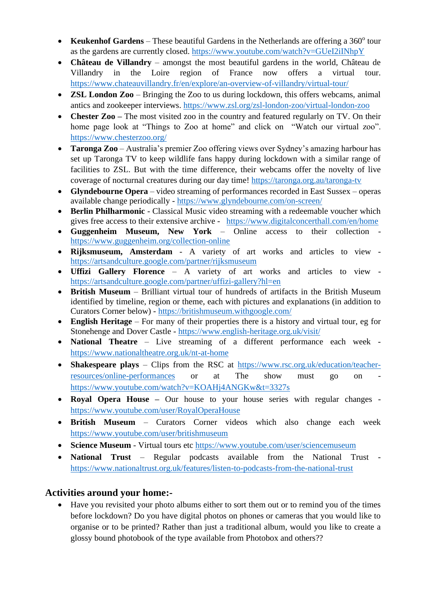- Keukenhof Gardens These beautiful Gardens in the Netherlands are offering a 360° tour as the gardens are currently closed.<https://www.youtube.com/watch?v=GUeI2iINhpY>
- **Château de Villandry** amongst the most beautiful gardens in the world, Château de Villandry in the Loire region of France now offers a virtual tour. <https://www.chateauvillandry.fr/en/explore/an-overview-of-villandry/virtual-tour/>
- **ZSL London Zoo** Bringing the Zoo to us during lockdown, this offers webcams, animal antics and zookeeper interviews.<https://www.zsl.org/zsl-london-zoo/virtual-london-zoo>
- **Chester Zoo** The most visited zoo in the country and featured regularly on TV. On their home page look at "Things to Zoo at home" and click on "Watch our virtual zoo". <https://www.chesterzoo.org/>
- **Taronga Zoo** Australia's premier Zoo offering views over Sydney's amazing harbour has set up Taronga TV to keep wildlife fans happy during lockdown with a similar range of facilities to ZSL. But with the time difference, their webcams offer the novelty of live coverage of nocturnal creatures during our day time!<https://taronga.org.au/taronga-tv>
- **Glyndebourne Opera** video streaming of performances recorded in East Sussex operas available change periodically - <https://www.glyndebourne.com/on-screen/>
- **Berlin Philharmonic** Classical Music video streaming with a redeemable voucher which gives free access to their extensive archive - <https://www.digitalconcerthall.com/en/home>
- **Guggenheim Museum, New York** Online access to their collection <https://www.guggenheim.org/collection-online>
- **Rijksmuseum, Amsterdam** A variety of art works and articles to view <https://artsandculture.google.com/partner/rijksmuseum>
- **Uffizi Gallery Florence** A variety of art works and articles to view <https://artsandculture.google.com/partner/uffizi-gallery?hl=en>
- **British Museum** Brilliant virtual tour of hundreds of artifacts in the British Museum identified by timeline, region or theme, each with pictures and explanations (in addition to Curators Corner below) - <https://britishmuseum.withgoogle.com/>
- **English Heritage** For many of their properties there is a history and virtual tour, eg for Stonehenge and Dover Castle - <https://www.english-heritage.org.uk/visit/>
- **National Theatre** Live streaming of a different performance each week <https://www.nationaltheatre.org.uk/nt-at-home>
- **Shakespeare plays** Clips from the RSC at [https://www.rsc.org.uk/education/teacher](https://www.rsc.org.uk/education/teacher-resources/online-performances)[resources/online-performances](https://www.rsc.org.uk/education/teacher-resources/online-performances) or at The show must go on <https://www.youtube.com/watch?v=KOAHj4ANGKw&t=3327s>
- **Royal Opera House –** Our house to your house series with regular changes <https://www.youtube.com/user/RoyalOperaHouse>
- **British Museum** Curators Corner videos which also change each week <https://www.youtube.com/user/britishmuseum>
- **Science Museum** Virtual tours etc<https://www.youtube.com/user/sciencemuseum>
- **National Trust** Regular podcasts available from the National Trust <https://www.nationaltrust.org.uk/features/listen-to-podcasts-from-the-national-trust>

### **Activities around your home:-**

• Have you revisited your photo albums either to sort them out or to remind you of the times before lockdown? Do you have digital photos on phones or cameras that you would like to organise or to be printed? Rather than just a traditional album, would you like to create a glossy bound photobook of the type available from Photobox and others??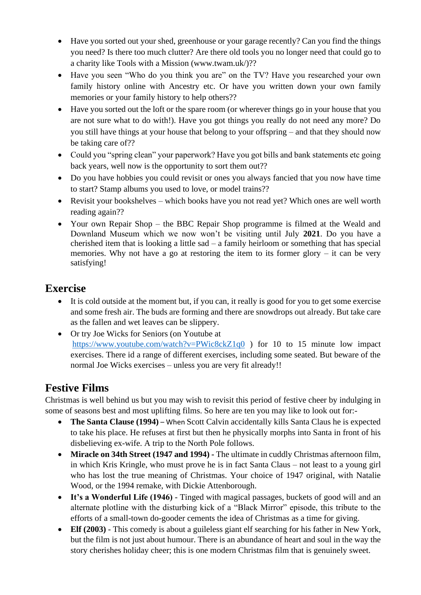- Have you sorted out your shed, greenhouse or your garage recently? Can you find the things you need? Is there too much clutter? Are there old tools you no longer need that could go to a charity like Tools with a Mission (www.twam.uk/)??
- Have you seen "Who do you think you are" on the TV? Have you researched your own family history online with Ancestry etc. Or have you written down your own family memories or your family history to help others??
- Have you sorted out the loft or the spare room (or wherever things go in your house that you are not sure what to do with!). Have you got things you really do not need any more? Do you still have things at your house that belong to your offspring – and that they should now be taking care of??
- Could you "spring clean" your paperwork? Have you got bills and bank statements etc going back years, well now is the opportunity to sort them out??
- Do you have hobbies you could revisit or ones you always fancied that you now have time to start? Stamp albums you used to love, or model trains??
- Revisit your bookshelves which books have you not read yet? Which ones are well worth reading again??
- Your own Repair Shop the BBC Repair Shop programme is filmed at the Weald and Downland Museum which we now won't be visiting until July **2021**. Do you have a cherished item that is looking a little sad – a family heirloom or something that has special memories. Why not have a go at restoring the item to its former glory  $-$  it can be very satisfying!

## **Exercise**

- It is cold outside at the moment but, if you can, it really is good for you to get some exercise and some fresh air. The buds are forming and there are snowdrops out already. But take care as the fallen and wet leaves can be slippery.
- Or try Joe Wicks for Seniors (on Youtube at <https://www.youtube.com/watch?v=PWic8ckZ1q0> ) for 10 to 15 minute low impact exercises. There id a range of different exercises, including some seated. But beware of the normal Joe Wicks exercises – unless you are very fit already!!

# **Festive Films**

Christmas is well behind us but you may wish to revisit this period of festive cheer by indulging in some of seasons best and most uplifting films. So here are ten you may like to look out for:-

- **The Santa Clause (1994)** When Scott Calvin accidentally kills Santa Claus he is expected to take his place. He refuses at first but then he physically morphs into Santa in front of his disbelieving ex-wife. A trip to the North Pole follows.
- **Miracle on 34th Street (1947 and 1994) -** The ultimate in cuddly Christmas afternoon film, in which Kris Kringle, who must prove he is in fact Santa Claus – not least to a young girl who has lost the true meaning of Christmas. Your choice of 1947 original, with Natalie Wood, or the 1994 remake, with Dickie Attenborough.
- **It's a Wonderful Life (1946)** Tinged with magical passages, buckets of good will and an alternate plotline with the disturbing kick of a "Black Mirror" episode, this tribute to the efforts of a small-town do-gooder cements the idea of Christmas as a time for giving.
- **Elf (2003)** This comedy is about a guileless giant elf searching for his father in New York, but the film is not just about humour. There is an abundance of heart and soul in the way the story cherishes holiday cheer; this is one modern Christmas film that is genuinely sweet.